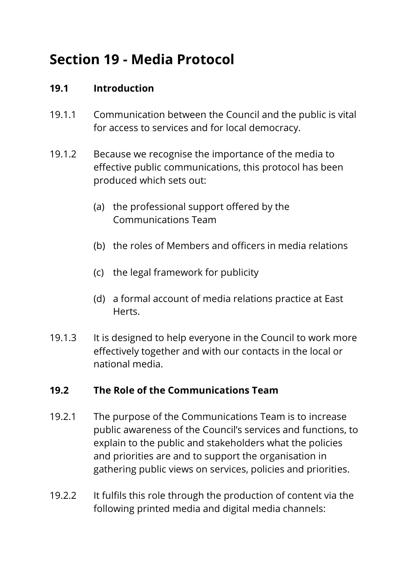# **Section 19 - Media Protocol**

## **19.1 Introduction**

- 19.1.1 Communication between the Council and the public is vital for access to services and for local democracy.
- 19.1.2 Because we recognise the importance of the media to effective public communications, this protocol has been produced which sets out:
	- (a) the professional support offered by the Communications Team
	- (b) the roles of Members and officers in media relations
	- (c) the legal framework for publicity
	- (d) a formal account of media relations practice at East Herts.
- 19.1.3 It is designed to help everyone in the Council to work more effectively together and with our contacts in the local or national media.

#### **19.2 The Role of the Communications Team**

- 19.2.1 The purpose of the Communications Team is to increase public awareness of the Council's services and functions, to explain to the public and stakeholders what the policies and priorities are and to support the organisation in gathering public views on services, policies and priorities.
- 19.2.2 It fulfils this role through the production of content via the following printed media and digital media channels: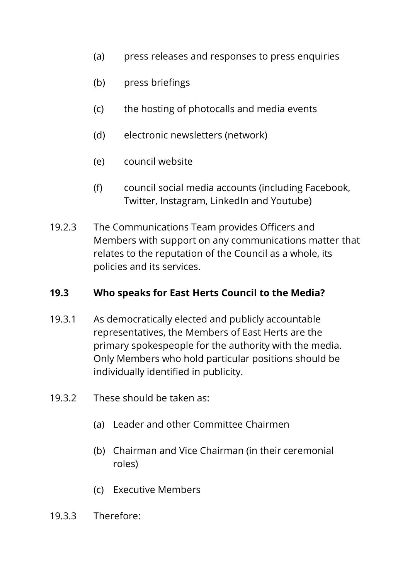- (a) press releases and responses to press enquiries
- (b) press briefings
- (c) the hosting of photocalls and media events
- (d) electronic newsletters (network)
- (e) council website
- (f) council social media accounts (including Facebook, Twitter, Instagram, LinkedIn and Youtube)
- 19.2.3 The Communications Team provides Officers and Members with support on any communications matter that relates to the reputation of the Council as a whole, its policies and its services.

## **19.3 Who speaks for East Herts Council to the Media?**

- 19.3.1 As democratically elected and publicly accountable representatives, the Members of East Herts are the primary spokespeople for the authority with the media. Only Members who hold particular positions should be individually identified in publicity.
- 19.3.2 These should be taken as:
	- (a) Leader and other Committee Chairmen
	- (b) Chairman and Vice Chairman (in their ceremonial roles)
	- (c) Executive Members
- 19.3.3 Therefore: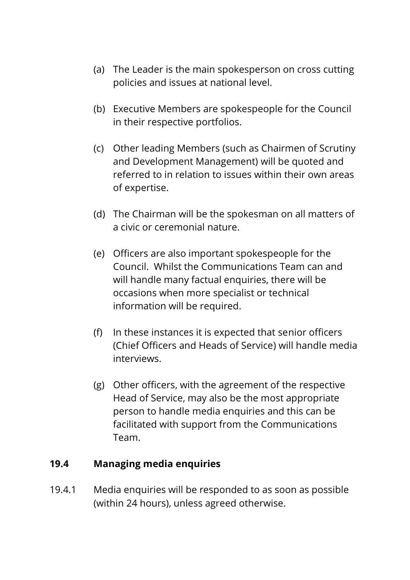- (a) The Leader is the main spokesperson on cross cutting policies and issues at national level.
- (b) Executive Members are spokespeople for the Council in their respective portfolios.
- (c) Other leading Members (such as Chairmen of Scrutiny and Development Management) will be quoted and referred to in relation to issues within their own areas of expertise.
- (d) The Chairman will be the spokesman on all matters of a civic or ceremonial nature.
- (e) Officers are also important spokespeople for the Council. Whilst the Communications Team can and will handle many factual enquiries, there will be occasions when more specialist or technical information will be required.
- (f) In these instances it is expected that senior officers (Chief Officers and Heads of Service) will handle media interviews.
- (g) Other officers, with the agreement of the respective Head of Service, may also be the most appropriate person to handle media enquiries and this can be facilitated with support from the Communications Team.

#### **19.4 Managing media enquiries**

19.4.1 Media enquiries will be responded to as soon as possible (within 24 hours), unless agreed otherwise.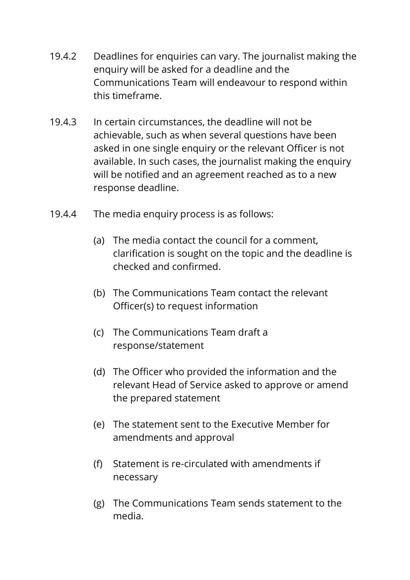- 19.4.2 Deadlines for enquiries can vary. The journalist making the enquiry will be asked for a deadline and the Communications Team will endeavour to respond within this timeframe.
- 19.4.3 In certain circumstances, the deadline will not be achievable, such as when several questions have been asked in one single enquiry or the relevant Officer is not available. In such cases, the journalist making the enquiry will be notified and an agreement reached as to a new response deadline.
- 19.4.4 The media enquiry process is as follows:
	- (a) The media contact the council for a comment, clarification is sought on the topic and the deadline is checked and confirmed.
	- (b) The Communications Team contact the relevant Officer(s) to request information
	- (c) The Communications Team draft a response/statement
	- (d) The Officer who provided the information and the relevant Head of Service asked to approve or amend the prepared statement
	- (e) The statement sent to the Executive Member for amendments and approval
	- (f) Statement is re-circulated with amendments if necessary
	- (g) The Communications Team sends statement to the media.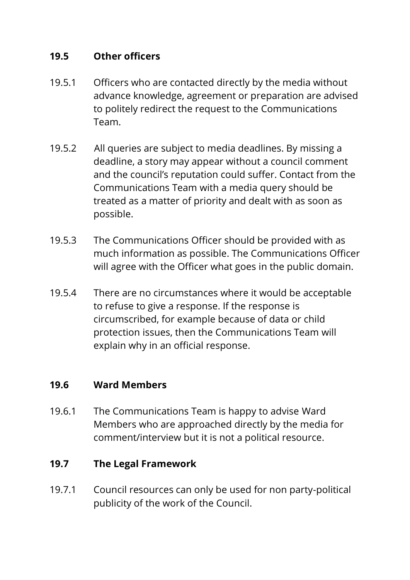## **19.5 Other officers**

- 19.5.1 Officers who are contacted directly by the media without advance knowledge, agreement or preparation are advised to politely redirect the request to the Communications Team.
- 19.5.2 All queries are subject to media deadlines. By missing a deadline, a story may appear without a council comment and the council's reputation could suffer. Contact from the Communications Team with a media query should be treated as a matter of priority and dealt with as soon as possible.
- 19.5.3 The Communications Officer should be provided with as much information as possible. The Communications Officer will agree with the Officer what goes in the public domain.
- 19.5.4 There are no circumstances where it would be acceptable to refuse to give a response. If the response is circumscribed, for example because of data or child protection issues, then the Communications Team will explain why in an official response.

## **19.6 Ward Members**

19.6.1 The Communications Team is happy to advise Ward Members who are approached directly by the media for comment/interview but it is not a political resource.

## **19.7 The Legal Framework**

19.7.1 Council resources can only be used for non party-political publicity of the work of the Council.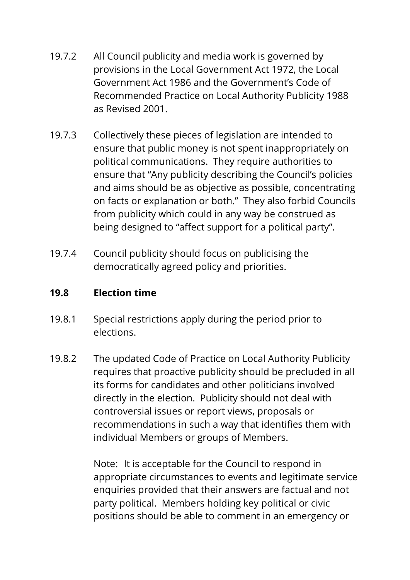- 19.7.2 All Council publicity and media work is governed by provisions in the Local Government Act 1972, the Local Government Act 1986 and the Government's Code of Recommended Practice on Local Authority Publicity 1988 as Revised 2001.
- 19.7.3 Collectively these pieces of legislation are intended to ensure that public money is not spent inappropriately on political communications. They require authorities to ensure that "Any publicity describing the Council's policies and aims should be as objective as possible, concentrating on facts or explanation or both." They also forbid Councils from publicity which could in any way be construed as being designed to "affect support for a political party".
- 19.7.4 Council publicity should focus on publicising the democratically agreed policy and priorities.

## **19.8 Election time**

- 19.8.1 Special restrictions apply during the period prior to elections.
- 19.8.2 The updated Code of Practice on Local Authority Publicity requires that proactive publicity should be precluded in all its forms for candidates and other politicians involved directly in the election. Publicity should not deal with controversial issues or report views, proposals or recommendations in such a way that identifies them with individual Members or groups of Members.

Note: It is acceptable for the Council to respond in appropriate circumstances to events and legitimate service enquiries provided that their answers are factual and not party political. Members holding key political or civic positions should be able to comment in an emergency or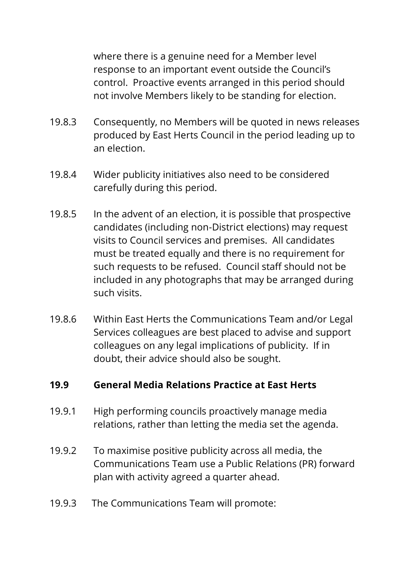where there is a genuine need for a Member level response to an important event outside the Council's control. Proactive events arranged in this period should not involve Members likely to be standing for election.

- 19.8.3 Consequently, no Members will be quoted in news releases produced by East Herts Council in the period leading up to an election.
- 19.8.4 Wider publicity initiatives also need to be considered carefully during this period.
- 19.8.5 In the advent of an election, it is possible that prospective candidates (including non-District elections) may request visits to Council services and premises. All candidates must be treated equally and there is no requirement for such requests to be refused. Council staff should not be included in any photographs that may be arranged during such visits.
- 19.8.6 Within East Herts the Communications Team and/or Legal Services colleagues are best placed to advise and support colleagues on any legal implications of publicity. If in doubt, their advice should also be sought.

#### **19.9 General Media Relations Practice at East Herts**

- 19.9.1 High performing councils proactively manage media relations, rather than letting the media set the agenda.
- 19.9.2 To maximise positive publicity across all media, the Communications Team use a Public Relations (PR) forward plan with activity agreed a quarter ahead.
- 19.9.3 The Communications Team will promote: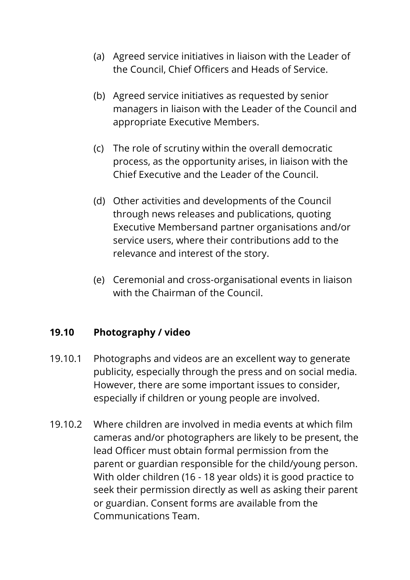- (a) Agreed service initiatives in liaison with the Leader of the Council, Chief Officers and Heads of Service.
- (b) Agreed service initiatives as requested by senior managers in liaison with the Leader of the Council and appropriate Executive Members.
- (c) The role of scrutiny within the overall democratic process, as the opportunity arises, in liaison with the Chief Executive and the Leader of the Council.
- (d) Other activities and developments of the Council through news releases and publications, quoting Executive Membersand partner organisations and/or service users, where their contributions add to the relevance and interest of the story.
- (e) Ceremonial and cross-organisational events in liaison with the Chairman of the Council.

# **19.10 Photography / video**

- 19.10.1 Photographs and videos are an excellent way to generate publicity, especially through the press and on social media. However, there are some important issues to consider, especially if children or young people are involved.
- 19.10.2 Where children are involved in media events at which film cameras and/or photographers are likely to be present, the lead Officer must obtain formal permission from the parent or guardian responsible for the child/young person. With older children (16 - 18 year olds) it is good practice to seek their permission directly as well as asking their parent or guardian. Consent forms are available from the Communications Team.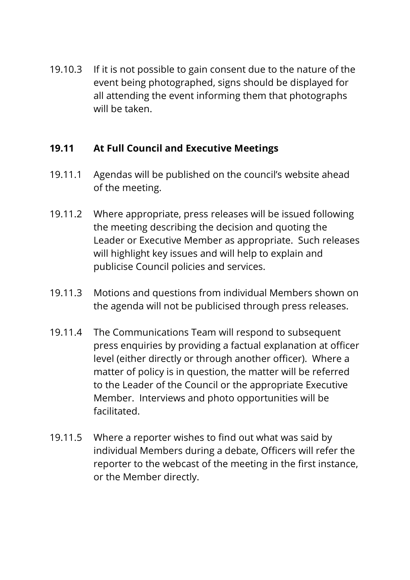19.10.3 If it is not possible to gain consent due to the nature of the event being photographed, signs should be displayed for all attending the event informing them that photographs will be taken.

## **19.11 At Full Council and Executive Meetings**

- 19.11.1 Agendas will be published on the council's website ahead of the meeting.
- 19.11.2 Where appropriate, press releases will be issued following the meeting describing the decision and quoting the Leader or Executive Member as appropriate. Such releases will highlight key issues and will help to explain and publicise Council policies and services.
- 19.11.3 Motions and questions from individual Members shown on the agenda will not be publicised through press releases.
- 19.11.4 The Communications Team will respond to subsequent press enquiries by providing a factual explanation at officer level (either directly or through another officer). Where a matter of policy is in question, the matter will be referred to the Leader of the Council or the appropriate Executive Member. Interviews and photo opportunities will be facilitated.
- 19.11.5 Where a reporter wishes to find out what was said by individual Members during a debate, Officers will refer the reporter to the webcast of the meeting in the first instance, or the Member directly.